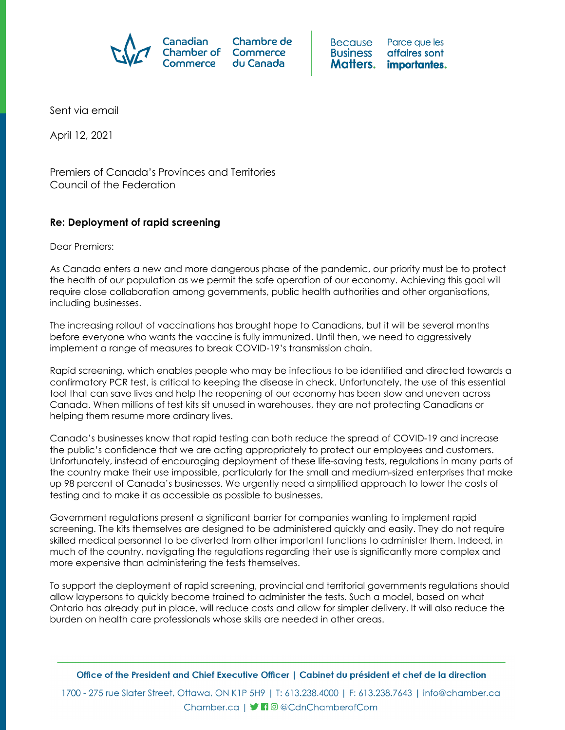

Parce que les Because **Business** affaires sont Matters. importantes.

Sent via email

April 12, 2021

Premiers of Canada's Provinces and Territories Council of the Federation

## **Re: Deployment of rapid screening**

Dear Premiers:

As Canada enters a new and more dangerous phase of the pandemic, our priority must be to protect the health of our population as we permit the safe operation of our economy. Achieving this goal will require close collaboration among governments, public health authorities and other organisations, including businesses.

The increasing rollout of vaccinations has brought hope to Canadians, but it will be several months before everyone who wants the vaccine is fully immunized. Until then, we need to aggressively implement a range of measures to break COVID-19's transmission chain.

Rapid screening, which enables people who may be infectious to be identified and directed towards a confirmatory PCR test, is critical to keeping the disease in check. Unfortunately, the use of this essential tool that can save lives and help the reopening of our economy has been slow and uneven across Canada. When millions of test kits sit unused in warehouses, they are not protecting Canadians or helping them resume more ordinary lives.

Canada's businesses know that rapid testing can both reduce the spread of COVID-19 and increase the public's confidence that we are acting appropriately to protect our employees and customers. Unfortunately, instead of encouraging deployment of these life-saving tests, regulations in many parts of the country make their use impossible, particularly for the small and medium-sized enterprises that make up 98 percent of Canada's businesses. We urgently need a simplified approach to lower the costs of testing and to make it as accessible as possible to businesses.

Government regulations present a significant barrier for companies wanting to implement rapid screening. The kits themselves are designed to be administered quickly and easily. They do not require skilled medical personnel to be diverted from other important functions to administer them. Indeed, in much of the country, navigating the regulations regarding their use is significantly more complex and more expensive than administering the tests themselves.

To support the deployment of rapid screening, provincial and territorial governments regulations should allow laypersons to quickly become trained to administer the tests. Such a model, based on what Ontario has already put in place, will reduce costs and allow for simpler delivery. It will also reduce the burden on health care professionals whose skills are needed in other areas.

1700 - 275 rue Slater Street, Ottawa, ON K1P 5H9 | T: 613.238.4000 | F: 613.238.7643 | info@chamber.ca Chamber.ca | **J n** @ @ Cdn Chamber of Com